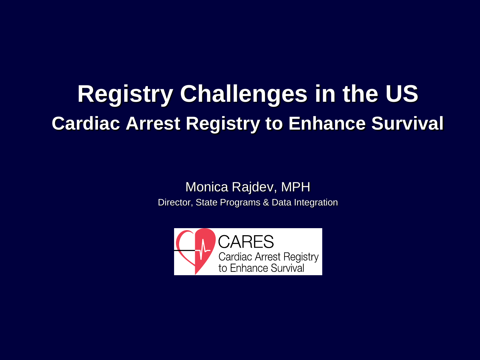# **Registry Challenges in the US Cardiac Arrest Registry to Enhance Survival**

Monica Rajdev, MPH Director, State Programs & Data Integration

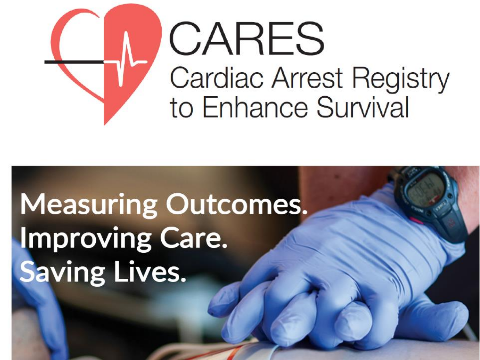

# **Measuring Outcomes. Improving Care. Saving Lives.**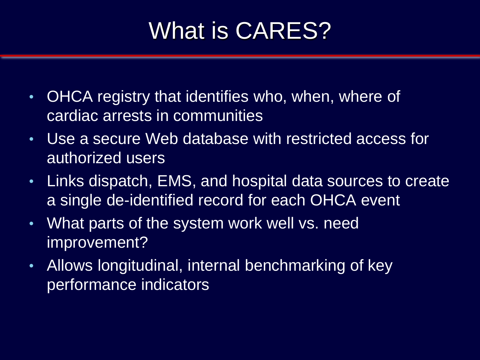# What is CARES?

- OHCA registry that identifies who, when, where of cardiac arrests in communities
- Use a secure Web database with restricted access for authorized users
- Links dispatch, EMS, and hospital data sources to create a single de-identified record for each OHCA event
- What parts of the system work well vs. need improvement?
- Allows longitudinal, internal benchmarking of key performance indicators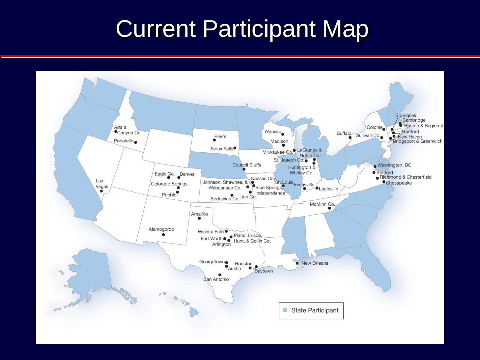#### Current Participant Map

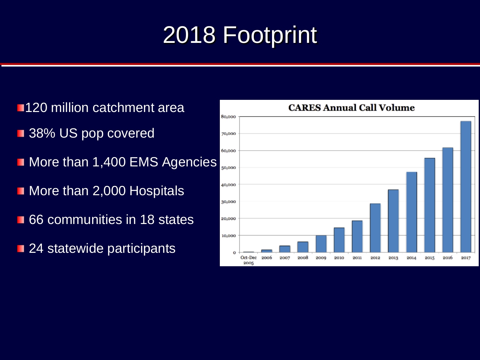# 2018 Footprint

**1120 million catchment area 38% US pop covered** More than 1,400 EMS Agencies More than 2,000 Hospitals **66** communities in 18 states **24 statewide participants** 

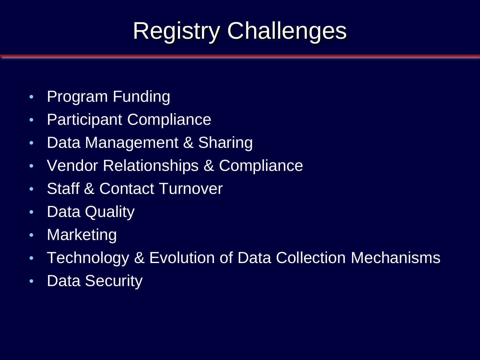# Registry Challenges

- Program Funding
- Participant Compliance
- Data Management & Sharing
- Vendor Relationships & Compliance
- Staff & Contact Turnover
- Data Quality
- Marketing
- Technology & Evolution of Data Collection Mechanisms
- Data Security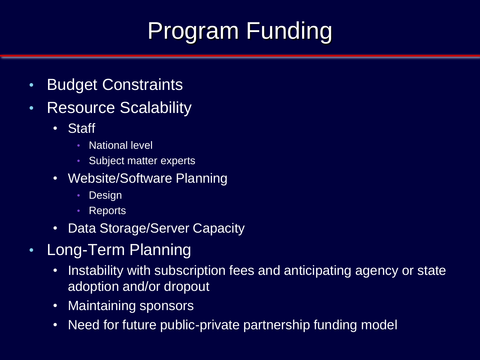# Program Funding

- Budget Constraints
- Resource Scalability
	- Staff
		- National level
		- Subject matter experts
	- Website/Software Planning
		- Design
		- Reports
	- Data Storage/Server Capacity
- Long-Term Planning
	- Instability with subscription fees and anticipating agency or state adoption and/or dropout
	- Maintaining sponsors
	- Need for future public-private partnership funding model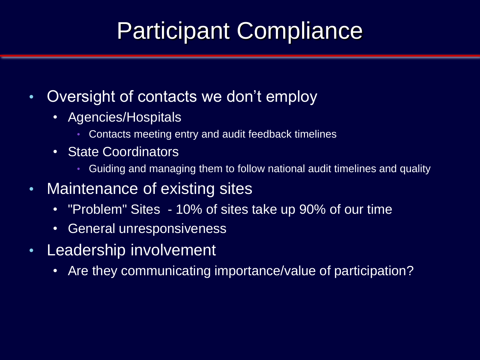### Participant Compliance

- Oversight of contacts we don't employ
	- Agencies/Hospitals
		- Contacts meeting entry and audit feedback timelines
	- State Coordinators
		- Guiding and managing them to follow national audit timelines and quality
- Maintenance of existing sites
	- "Problem" Sites 10% of sites take up 90% of our time
	- General unresponsiveness
- Leadership involvement
	- Are they communicating importance/value of participation?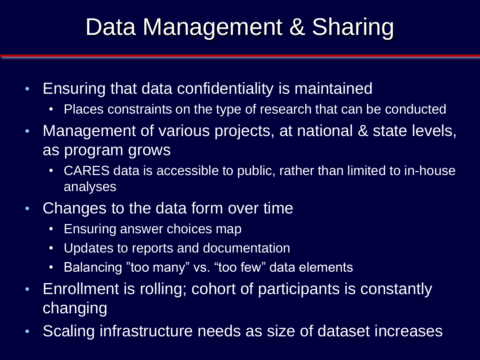# Data Management & Sharing

- Ensuring that data confidentiality is maintained
	- Places constraints on the type of research that can be conducted
- Management of various projects, at national & state levels, as program grows
	- CARES data is accessible to public, rather than limited to in-house analyses
- Changes to the data form over time
	- Ensuring answer choices map
	- Updates to reports and documentation
	- Balancing "too many" vs. "too few" data elements
- Enrollment is rolling; cohort of participants is constantly changing
- Scaling infrastructure needs as size of dataset increases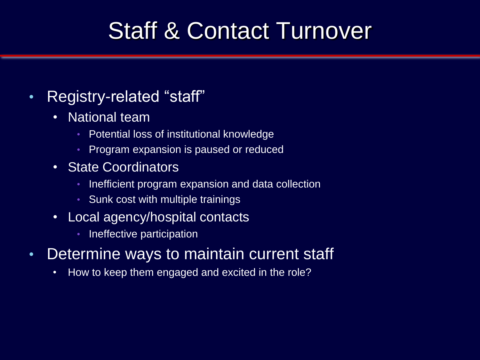#### Staff & Contact Turnover

#### • Registry-related "staff"

- National team
	- Potential loss of institutional knowledge
	- Program expansion is paused or reduced
- State Coordinators
	- Inefficient program expansion and data collection
	- Sunk cost with multiple trainings
- Local agency/hospital contacts
	- Ineffective participation
- Determine ways to maintain current staff
	- How to keep them engaged and excited in the role?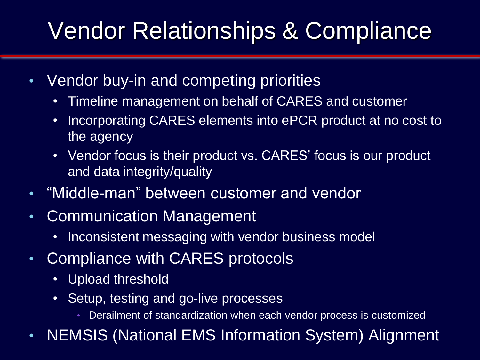# Vendor Relationships & Compliance

- Vendor buy-in and competing priorities
	- Timeline management on behalf of CARES and customer
	- Incorporating CARES elements into ePCR product at no cost to the agency
	- Vendor focus is their product vs. CARES' focus is our product and data integrity/quality
- "Middle-man" between customer and vendor
- Communication Management
	- Inconsistent messaging with vendor business model
- Compliance with CARES protocols
	- Upload threshold
	- Setup, testing and go-live processes
		- Derailment of standardization when each vendor process is customized
- NEMSIS (National EMS Information System) Alignment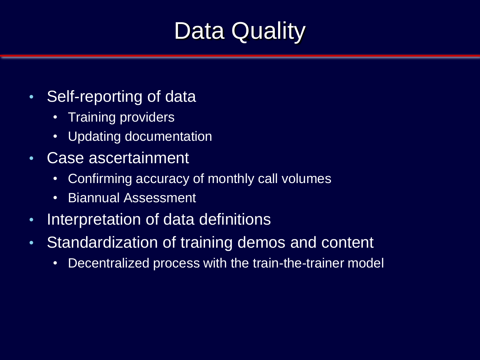### Data Quality

- Self-reporting of data
	- Training providers
	- Updating documentation
- Case ascertainment
	- Confirming accuracy of monthly call volumes
	- Biannual Assessment
- Interpretation of data definitions
- Standardization of training demos and content
	- Decentralized process with the train-the-trainer model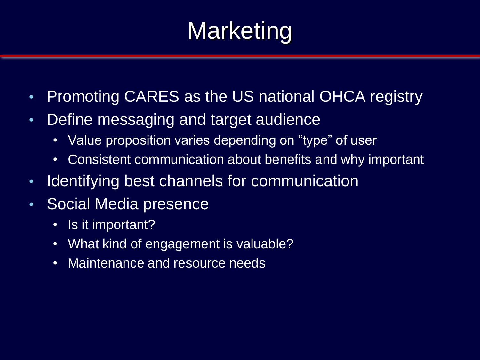# **Marketing**

- Promoting CARES as the US national OHCA registry
- Define messaging and target audience
	- Value proposition varies depending on "type" of user
	- Consistent communication about benefits and why important
- Identifying best channels for communication
- Social Media presence
	- Is it important?
	- What kind of engagement is valuable?
	- Maintenance and resource needs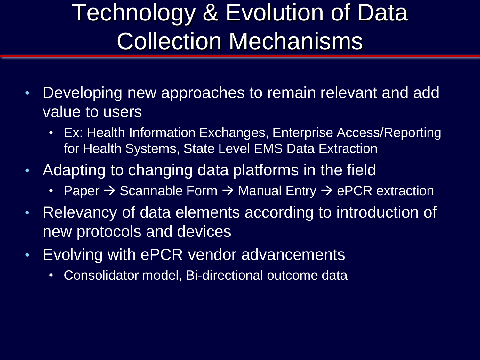# Technology & Evolution of Data Collection Mechanisms

- Developing new approaches to remain relevant and add value to users
	- Ex: Health Information Exchanges, Enterprise Access/Reporting for Health Systems, State Level EMS Data Extraction
- Adapting to changing data platforms in the field
	- Paper  $\rightarrow$  Scannable Form  $\rightarrow$  Manual Entry  $\rightarrow$  ePCR extraction
- Relevancy of data elements according to introduction of new protocols and devices
- Evolving with ePCR vendor advancements
	- Consolidator model, Bi-directional outcome data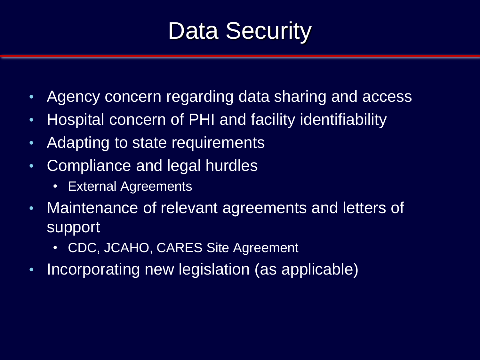### Data Security

- Agency concern regarding data sharing and access
- Hospital concern of PHI and facility identifiability
- Adapting to state requirements
- Compliance and legal hurdles
	- External Agreements
- Maintenance of relevant agreements and letters of support
	- CDC, JCAHO, CARES Site Agreement
- Incorporating new legislation (as applicable)